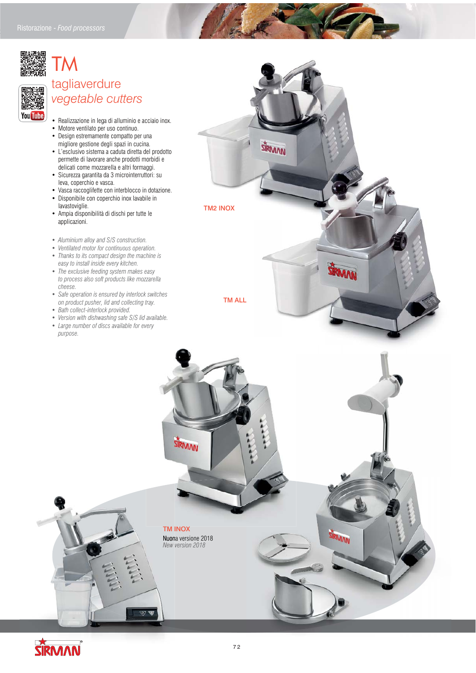

You Tube

## TM tagliaverdure  *vegetable cutters*

- Realizzazione in lega di alluminio e acciaio inox.
- Motore ventilato per uso continuo.
- Design estremamente compatto per una migliore gestione degli spazi in cucina.
- L'esclusivo sistema a caduta diretta del prodotto permette di lavorare anche prodotti morbidi e delicati come mozzarella e altri formaggi.
- Sicurezza garantita da 3 microinterruttori: su leva, coperchio e vasca.
- Vasca raccoglifette con interblocco in dotazione.
- Disponibile con coperchio inox lavabile in lavastoviglie.
- Ampia disponibilità di dischi per tutte le applicazioni.
- *Aluminium alloy and S/S construction.*
- *Ventilated motor for continuous operation. • Thanks to its compact design the machine is*
- *easy to install inside every kitchen. • The exclusive feeding system makes easy to process also soft products like mozzarella*
- *cheese. • Safe operation is ensured by interlock switches*
- *on product pusher, lid and collecting tray. • Bath collect-interlock provided.*
- *Version with dishwashing safe S/S lid available.*
- *Large number of discs available for every purpose.*



SIRMAN



TM INOX TM I Nuona versione 2018 Nuon  *New version 2018*

STRMAN